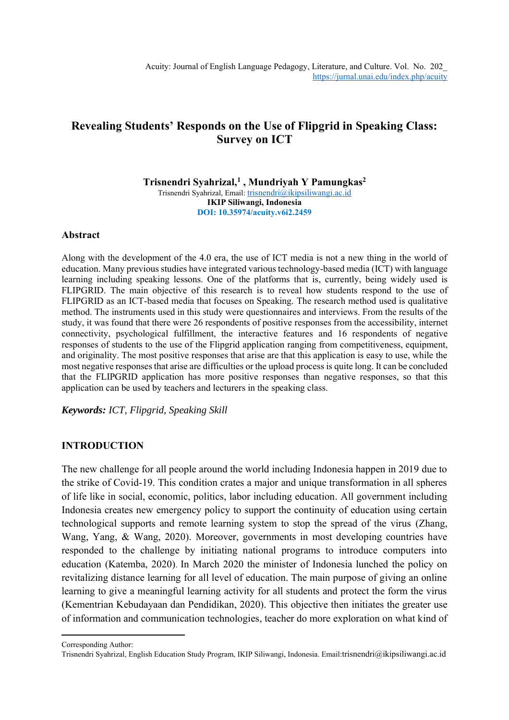# **Revealing Students' Responds on the Use of Flipgrid in Speaking Class: Survey on ICT**

**Trisnendri Syahrizal, 1 , Mundriyah Y Pamungkas<sup>2</sup>** Trisnendri Syahrizal, Email: [trisnendri@ikipsiliwangi.ac.id](mailto:trisnendri@ikipsiliwangi.ac.id) **IKIP Siliwangi, Indonesia DOI: 10.35974/acuity.v6i2.2459**

# **Abstract**

Along with the development of the 4.0 era, the use of ICT media is not a new thing in the world of education. Many previous studies have integrated various technology-based media (ICT) with language learning including speaking lessons. One of the platforms that is, currently, being widely used is FLIPGRID. The main objective of this research is to reveal how students respond to the use of FLIPGRID as an ICT-based media that focuses on Speaking. The research method used is qualitative method. The instruments used in this study were questionnaires and interviews. From the results of the study, it was found that there were 26 respondents of positive responses from the accessibility, internet connectivity, psychological fulfillment, the interactive features and 16 respondents of negative responses of students to the use of the Flipgrid application ranging from competitiveness, equipment, and originality. The most positive responses that arise are that this application is easy to use, while the most negative responses that arise are difficulties or the upload process is quite long. It can be concluded that the FLIPGRID application has more positive responses than negative responses, so that this application can be used by teachers and lecturers in the speaking class.

*Keywords: ICT, Flipgrid, Speaking Skill*

# **INTRODUCTION**

The new challenge for all people around the world including Indonesia happen in 2019 due to the strike of Covid-19. This condition crates a major and unique transformation in all spheres of life like in social, economic, politics, labor including education. All government including Indonesia creates new emergency policy to support the continuity of education using certain technological supports and remote learning system to stop the spread of the virus (Zhang, Wang, Yang, & Wang, 2020). Moreover, governments in most developing countries have responded to the challenge by initiating national programs to introduce computers into education (Katemba, 2020). In March 2020 the minister of Indonesia lunched the policy on revitalizing distance learning for all level of education. The main purpose of giving an online learning to give a meaningful learning activity for all students and protect the form the virus (Kementrian Kebudayaan dan Pendidikan, 2020). This objective then initiates the greater use of information and communication technologies, teacher do more exploration on what kind of

Corresponding Author:

Trisnendri Syahrizal, English Education Study Program, IKIP Siliwangi, Indonesia. Email:trisnendri@ikipsiliwangi.ac.id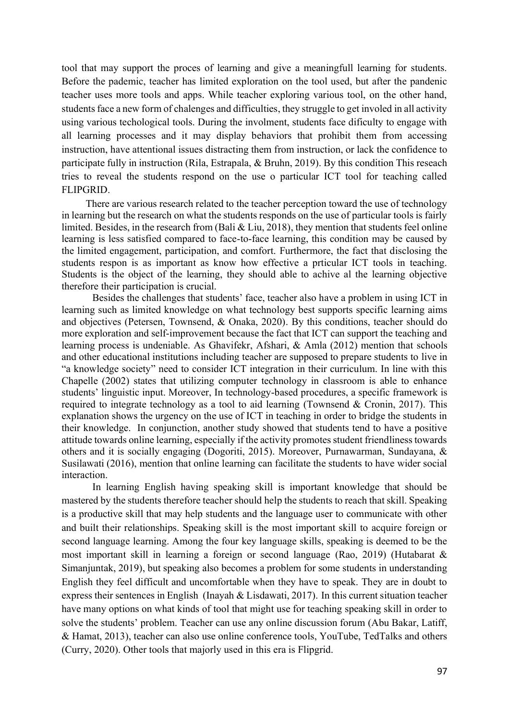tool that may support the proces of learning and give a meaningfull learning for students. Before the pademic, teacher has limited exploration on the tool used, but after the pandenic teacher uses more tools and apps. While teacher exploring various tool, on the other hand, students face a new form of chalenges and difficulties, they struggle to get involed in all activity using various techological tools. During the involment, students face dificulty to engage with all learning processes and it may display behaviors that prohibit them from accessing instruction, have attentional issues distracting them from instruction, or lack the confidence to participate fully in instruction (Rila, Estrapala, & Bruhn, 2019). By this condition This reseach tries to reveal the students respond on the use o particular ICT tool for teaching called FLIPGRID.

There are various research related to the teacher perception toward the use of technology in learning but the research on what the students responds on the use of particular tools is fairly limited. Besides, in the research from (Bali & Liu, 2018), they mention that students feel online learning is less satisfied compared to face-to-face learning, this condition may be caused by the limited engagement, participation, and comfort. Furthermore, the fact that disclosing the students respon is as important as know how effective a prticular ICT tools in teaching. Students is the object of the learning, they should able to achive al the learning objective therefore their participation is crucial.

Besides the challenges that students' face, teacher also have a problem in using ICT in learning such as limited knowledge on what technology best supports specific learning aims and objectives (Petersen, Townsend, & Onaka, 2020). By this conditions, teacher should do more exploration and self-improvement because the fact that ICT can support the teaching and learning process is undeniable. As Ghavifekr, Afshari, & Amla (2012) mention that schools and other educational institutions including teacher are supposed to prepare students to live in "a knowledge society" need to consider ICT integration in their curriculum. In line with this Chapelle (2002) states that utilizing computer technology in classroom is able to enhance students' linguistic input. Moreover, In technology-based procedures, a specific framework is required to integrate technology as a tool to aid learning (Townsend & Cronin, 2017). This explanation shows the urgency on the use of ICT in teaching in order to bridge the students in their knowledge. In conjunction, another study showed that students tend to have a positive attitude towards online learning, especially if the activity promotes student friendliness towards others and it is socially engaging (Dogoriti, 2015). Moreover, Purnawarman, Sundayana, & Susilawati (2016), mention that online learning can facilitate the students to have wider social interaction.

In learning English having speaking skill is important knowledge that should be mastered by the students therefore teacher should help the students to reach that skill. Speaking is a productive skill that may help students and the language user to communicate with other and built their relationships. Speaking skill is the most important skill to acquire foreign or second language learning. Among the four key language skills, speaking is deemed to be the most important skill in learning a foreign or second language (Rao, 2019) (Hutabarat & Simanjuntak, 2019), but speaking also becomes a problem for some students in understanding English they feel difficult and uncomfortable when they have to speak. They are in doubt to express their sentences in English (Inayah & Lisdawati, 2017). In this current situation teacher have many options on what kinds of tool that might use for teaching speaking skill in order to solve the students' problem. Teacher can use any online discussion forum (Abu Bakar, Latiff, & Hamat, 2013), teacher can also use online conference tools, YouTube, TedTalks and others (Curry, 2020). Other tools that majorly used in this era is Flipgrid.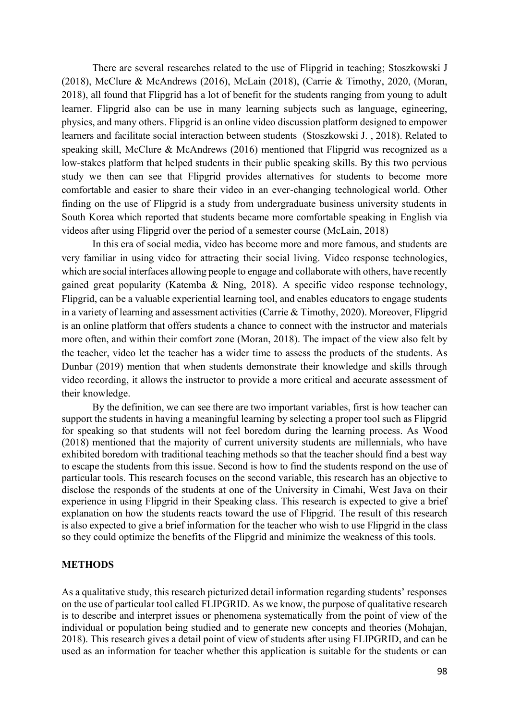There are several researches related to the use of Flipgrid in teaching; Stoszkowski J (2018), McClure & McAndrews (2016), McLain (2018), (Carrie & Timothy, 2020, (Moran, 2018), all found that Flipgrid has a lot of benefit for the students ranging from young to adult learner. Flipgrid also can be use in many learning subjects such as language, egineering, physics, and many others. Flipgrid is an online video discussion platform designed to empower learners and facilitate social interaction between students (Stoszkowski J. , 2018). Related to speaking skill, McClure & McAndrews (2016) mentioned that Flipgrid was recognized as a low-stakes platform that helped students in their public speaking skills. By this two pervious study we then can see that Flipgrid provides alternatives for students to become more comfortable and easier to share their video in an ever-changing technological world. Other finding on the use of Flipgrid is a study from undergraduate business university students in South Korea which reported that students became more comfortable speaking in English via videos after using Flipgrid over the period of a semester course (McLain, 2018)

In this era of social media, video has become more and more famous, and students are very familiar in using video for attracting their social living. Video response technologies, which are social interfaces allowing people to engage and collaborate with others, have recently gained great popularity (Katemba & Ning, 2018). A specific video response technology, Flipgrid, can be a valuable experiential learning tool, and enables educators to engage students in a variety of learning and assessment activities (Carrie & Timothy, 2020). Moreover, Flipgrid is an online platform that offers students a chance to connect with the instructor and materials more often, and within their comfort zone (Moran, 2018). The impact of the view also felt by the teacher, video let the teacher has a wider time to assess the products of the students. As Dunbar (2019) mention that when students demonstrate their knowledge and skills through video recording, it allows the instructor to provide a more critical and accurate assessment of their knowledge.

By the definition, we can see there are two important variables, first is how teacher can support the students in having a meaningful learning by selecting a proper tool such as Flipgrid for speaking so that students will not feel boredom during the learning process. As Wood (2018) mentioned that the majority of current university students are millennials, who have exhibited boredom with traditional teaching methods so that the teacher should find a best way to escape the students from this issue. Second is how to find the students respond on the use of particular tools. This research focuses on the second variable, this research has an objective to disclose the responds of the students at one of the University in Cimahi, West Java on their experience in using Flipgrid in their Speaking class. This research is expected to give a brief explanation on how the students reacts toward the use of Flipgrid. The result of this research is also expected to give a brief information for the teacher who wish to use Flipgrid in the class so they could optimize the benefits of the Flipgrid and minimize the weakness of this tools.

# **METHODS**

As a qualitative study, this research picturized detail information regarding students' responses on the use of particular tool called FLIPGRID. As we know, the purpose of qualitative research is to describe and interpret issues or phenomena systematically from the point of view of the individual or population being studied and to generate new concepts and theories (Mohajan, 2018). This research gives a detail point of view of students after using FLIPGRID, and can be used as an information for teacher whether this application is suitable for the students or can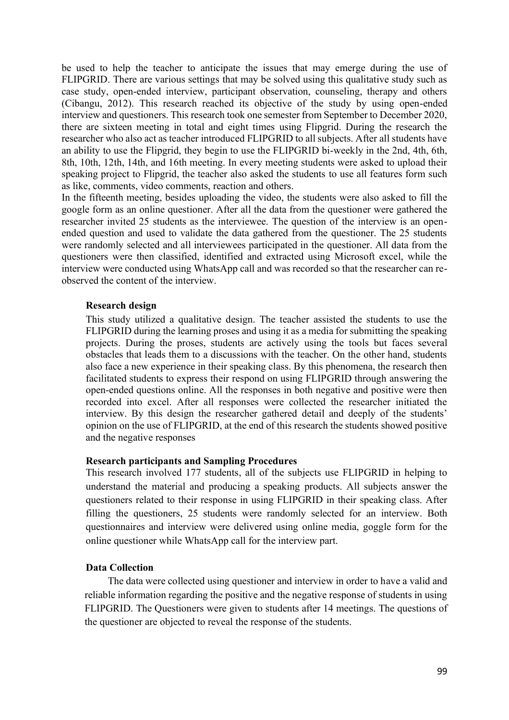be used to help the teacher to anticipate the issues that may emerge during the use of FLIPGRID. There are various settings that may be solved using this qualitative study such as case study, open-ended interview, participant observation, counseling, therapy and others (Cibangu, 2012). This research reached its objective of the study by using open-ended interview and questioners. This research took one semester from September to December 2020, there are sixteen meeting in total and eight times using Flipgrid. During the research the researcher who also act as teacher introduced FLIPGRID to all subjects. After all students have an ability to use the Flipgrid, they begin to use the FLIPGRID bi-weekly in the 2nd, 4th, 6th, 8th, 10th, 12th, 14th, and 16th meeting. In every meeting students were asked to upload their speaking project to Flipgrid, the teacher also asked the students to use all features form such as like, comments, video comments, reaction and others.

In the fifteenth meeting, besides uploading the video, the students were also asked to fill the google form as an online questioner. After all the data from the questioner were gathered the researcher invited 25 students as the interviewee. The question of the interview is an openended question and used to validate the data gathered from the questioner. The 25 students were randomly selected and all interviewees participated in the questioner. All data from the questioners were then classified, identified and extracted using Microsoft excel, while the interview were conducted using WhatsApp call and was recorded so that the researcher can reobserved the content of the interview.

# **Research design**

This study utilized a qualitative design. The teacher assisted the students to use the FLIPGRID during the learning proses and using it as a media for submitting the speaking projects. During the proses, students are actively using the tools but faces several obstacles that leads them to a discussions with the teacher. On the other hand, students also face a new experience in their speaking class. By this phenomena, the research then facilitated students to express their respond on using FLIPGRID through answering the open-ended questions online. All the responses in both negative and positive were then recorded into excel. After all responses were collected the researcher initiated the interview. By this design the researcher gathered detail and deeply of the students' opinion on the use of FLIPGRID, at the end of this research the students showed positive and the negative responses

### **Research participants and Sampling Procedures**

This research involved 177 students, all of the subjects use FLIPGRID in helping to understand the material and producing a speaking products. All subjects answer the questioners related to their response in using FLIPGRID in their speaking class. After filling the questioners, 25 students were randomly selected for an interview. Both questionnaires and interview were delivered using online media, goggle form for the online questioner while WhatsApp call for the interview part.

# **Data Collection**

The data were collected using questioner and interview in order to have a valid and reliable information regarding the positive and the negative response of students in using FLIPGRID. The Questioners were given to students after 14 meetings. The questions of the questioner are objected to reveal the response of the students.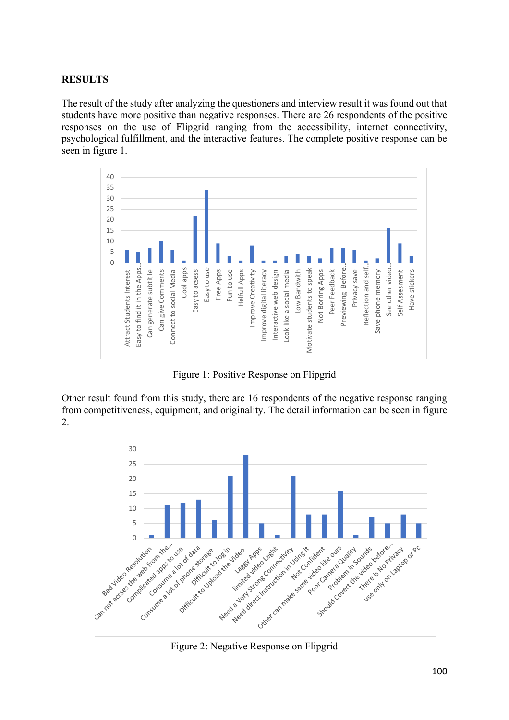# **RESULTS**

The result of the study after analyzing the questioners and interview result it was found out that students have more positive than negative responses. There are 26 respondents of the positive responses on the use of Flipgrid ranging from the accessibility, internet connectivity, psychological fulfillment, and the interactive features. The complete positive response can be seen in figure 1.



Figure 1: Positive Response on Flipgrid

Other result found from this study, there are 16 respondents of the negative response ranging from competitiveness, equipment, and originality. The detail information can be seen in figure 2.



Figure 2: Negative Response on Flipgrid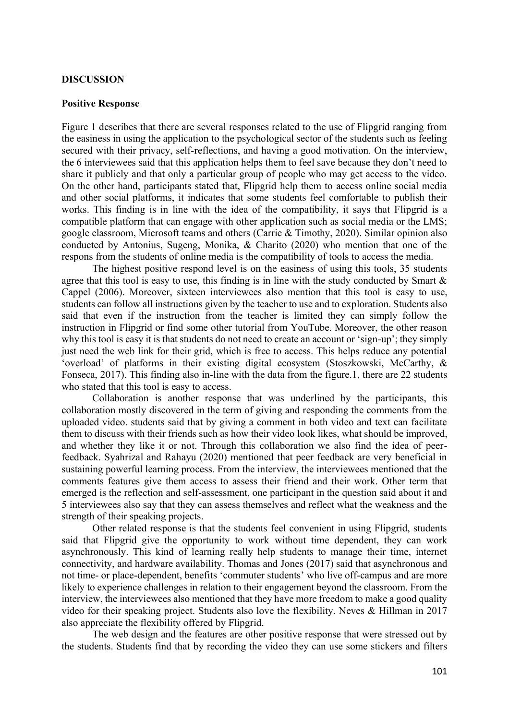#### **DISCUSSION**

# **Positive Response**

Figure 1 describes that there are several responses related to the use of Flipgrid ranging from the easiness in using the application to the psychological sector of the students such as feeling secured with their privacy, self-reflections, and having a good motivation. On the interview, the 6 interviewees said that this application helps them to feel save because they don't need to share it publicly and that only a particular group of people who may get access to the video. On the other hand, participants stated that, Flipgrid help them to access online social media and other social platforms, it indicates that some students feel comfortable to publish their works. This finding is in line with the idea of the compatibility, it says that Flipgrid is a compatible platform that can engage with other application such as social media or the LMS; google classroom, Microsoft teams and others (Carrie & Timothy, 2020). Similar opinion also conducted by Antonius, Sugeng, Monika, & Charito (2020) who mention that one of the respons from the students of online media is the compatibility of tools to access the media.

The highest positive respond level is on the easiness of using this tools, 35 students agree that this tool is easy to use, this finding is in line with the study conducted by Smart  $\&$ Cappel (2006). Moreover, sixteen interviewees also mention that this tool is easy to use, students can follow all instructions given by the teacher to use and to exploration. Students also said that even if the instruction from the teacher is limited they can simply follow the instruction in Flipgrid or find some other tutorial from YouTube. Moreover, the other reason why this tool is easy it is that students do not need to create an account or 'sign-up'; they simply just need the web link for their grid, which is free to access. This helps reduce any potential 'overload' of platforms in their existing digital ecosystem (Stoszkowski, McCarthy, & Fonseca, 2017). This finding also in-line with the data from the figure.1, there are 22 students who stated that this tool is easy to access.

Collaboration is another response that was underlined by the participants, this collaboration mostly discovered in the term of giving and responding the comments from the uploaded video. students said that by giving a comment in both video and text can facilitate them to discuss with their friends such as how their video look likes, what should be improved, and whether they like it or not. Through this collaboration we also find the idea of peerfeedback. Syahrizal and Rahayu (2020) mentioned that peer feedback are very beneficial in sustaining powerful learning process. From the interview, the interviewees mentioned that the comments features give them access to assess their friend and their work. Other term that emerged is the reflection and self-assessment, one participant in the question said about it and 5 interviewees also say that they can assess themselves and reflect what the weakness and the strength of their speaking projects.

Other related response is that the students feel convenient in using Flipgrid, students said that Flipgrid give the opportunity to work without time dependent, they can work asynchronously. This kind of learning really help students to manage their time, internet connectivity, and hardware availability. Thomas and Jones (2017) said that asynchronous and not time- or place-dependent, benefits 'commuter students' who live off-campus and are more likely to experience challenges in relation to their engagement beyond the classroom. From the interview, the interviewees also mentioned that they have more freedom to make a good quality video for their speaking project. Students also love the flexibility. Neves & Hillman in 2017 also appreciate the flexibility offered by Flipgrid.

The web design and the features are other positive response that were stressed out by the students. Students find that by recording the video they can use some stickers and filters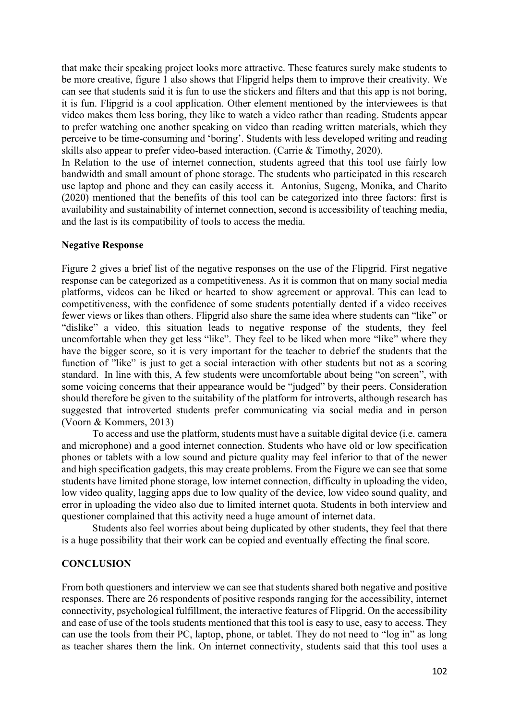that make their speaking project looks more attractive. These features surely make students to be more creative, figure 1 also shows that Flipgrid helps them to improve their creativity. We can see that students said it is fun to use the stickers and filters and that this app is not boring, it is fun. Flipgrid is a cool application. Other element mentioned by the interviewees is that video makes them less boring, they like to watch a video rather than reading. Students appear to prefer watching one another speaking on video than reading written materials, which they perceive to be time-consuming and 'boring'. Students with less developed writing and reading skills also appear to prefer video-based interaction. (Carrie & Timothy, 2020).

In Relation to the use of internet connection, students agreed that this tool use fairly low bandwidth and small amount of phone storage. The students who participated in this research use laptop and phone and they can easily access it. Antonius, Sugeng, Monika, and Charito (2020) mentioned that the benefits of this tool can be categorized into three factors: first is availability and sustainability of internet connection, second is accessibility of teaching media, and the last is its compatibility of tools to access the media.

# **Negative Response**

Figure 2 gives a brief list of the negative responses on the use of the Flipgrid. First negative response can be categorized as a competitiveness. As it is common that on many social media platforms, videos can be liked or hearted to show agreement or approval. This can lead to competitiveness, with the confidence of some students potentially dented if a video receives fewer views or likes than others. Flipgrid also share the same idea where students can "like" or "dislike" a video, this situation leads to negative response of the students, they feel uncomfortable when they get less "like". They feel to be liked when more "like" where they have the bigger score, so it is very important for the teacher to debrief the students that the function of "like" is just to get a social interaction with other students but not as a scoring standard. In line with this, A few students were uncomfortable about being "on screen", with some voicing concerns that their appearance would be "judged" by their peers. Consideration should therefore be given to the suitability of the platform for introverts, although research has suggested that introverted students prefer communicating via social media and in person (Voorn & Kommers, 2013)

To access and use the platform, students must have a suitable digital device (i.e. camera and microphone) and a good internet connection. Students who have old or low specification phones or tablets with a low sound and picture quality may feel inferior to that of the newer and high specification gadgets, this may create problems. From the Figure we can see that some students have limited phone storage, low internet connection, difficulty in uploading the video, low video quality, lagging apps due to low quality of the device, low video sound quality, and error in uploading the video also due to limited internet quota. Students in both interview and questioner complained that this activity need a huge amount of internet data.

Students also feel worries about being duplicated by other students, they feel that there is a huge possibility that their work can be copied and eventually effecting the final score.

# **CONCLUSION**

From both questioners and interview we can see that students shared both negative and positive responses. There are 26 respondents of positive responds ranging for the accessibility, internet connectivity, psychological fulfillment, the interactive features of Flipgrid. On the accessibility and ease of use of the tools students mentioned that this tool is easy to use, easy to access. They can use the tools from their PC, laptop, phone, or tablet. They do not need to "log in" as long as teacher shares them the link. On internet connectivity, students said that this tool uses a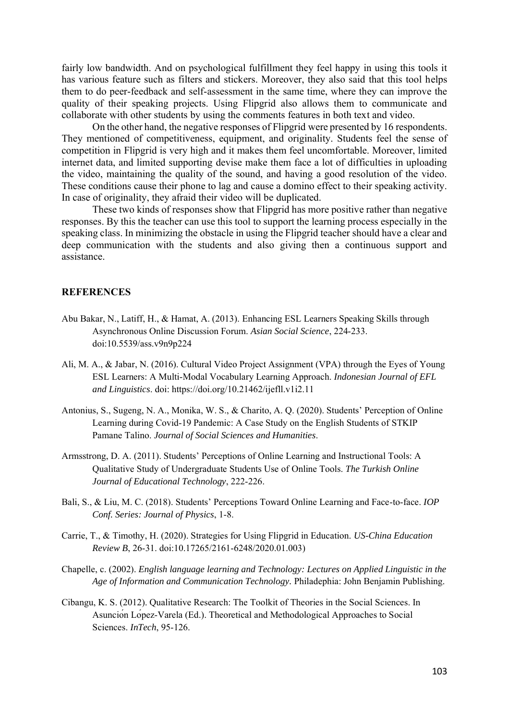fairly low bandwidth. And on psychological fulfillment they feel happy in using this tools it has various feature such as filters and stickers. Moreover, they also said that this tool helps them to do peer-feedback and self-assessment in the same time, where they can improve the quality of their speaking projects. Using Flipgrid also allows them to communicate and collaborate with other students by using the comments features in both text and video.

On the other hand, the negative responses of Flipgrid were presented by 16 respondents. They mentioned of competitiveness, equipment, and originality. Students feel the sense of competition in Flipgrid is very high and it makes them feel uncomfortable. Moreover, limited internet data, and limited supporting devise make them face a lot of difficulties in uploading the video, maintaining the quality of the sound, and having a good resolution of the video. These conditions cause their phone to lag and cause a domino effect to their speaking activity. In case of originality, they afraid their video will be duplicated.

These two kinds of responses show that Flipgrid has more positive rather than negative responses. By this the teacher can use this tool to support the learning process especially in the speaking class. In minimizing the obstacle in using the Flipgrid teacher should have a clear and deep communication with the students and also giving then a continuous support and assistance.

# **REFERENCES**

- Abu Bakar, N., Latiff, H., & Hamat, A. (2013). Enhancing ESL Learners Speaking Skills through Asynchronous Online Discussion Forum. *Asian Social Science*, 224-233. doi:10.5539/ass.v9n9p224
- Ali, M. A., & Jabar, N. (2016). Cultural Video Project Assignment (VPA) through the Eyes of Young ESL Learners: A Multi-Modal Vocabulary Learning Approach. *Indonesian Journal of EFL and Linguistics*. doi: https://doi.org/10.21462/ijefll.v1i2.11
- Antonius, S., Sugeng, N. A., Monika, W. S., & Charito, A. Q. (2020). Students' Perception of Online Learning during Covid-19 Pandemic: A Case Study on the English Students of STKIP Pamane Talino. *Journal of Social Sciences and Humanities*.
- Armsstrong, D. A. (2011). Students' Perceptions of Online Learning and Instructional Tools: A Qualitative Study of Undergraduate Students Use of Online Tools. *The Turkish Online Journal of Educational Technology*, 222-226.
- Bali, S., & Liu, M. C. (2018). Students' Perceptions Toward Online Learning and Face-to-face. *IOP Conf. Series: Journal of Physics*, 1-8.
- Carrie, T., & Timothy, H. (2020). Strategies for Using Flipgrid in Education. *US-China Education Review B*, 26-31. doi:10.17265/2161-6248/2020.01.003)
- Chapelle, c. (2002). *English language learning and Technology: Lectures on Applied Linguistic in the Age of Information and Communication Technology.* Philadephia: John Benjamin Publishing.
- Cibangu, K. S. (2012). Qualitative Research: The Toolkit of Theories in the Social Sciences. In Asunción López-Varela (Ed.). Theoretical and Methodological Approaches to Social Sciences. *InTech*, 95-126.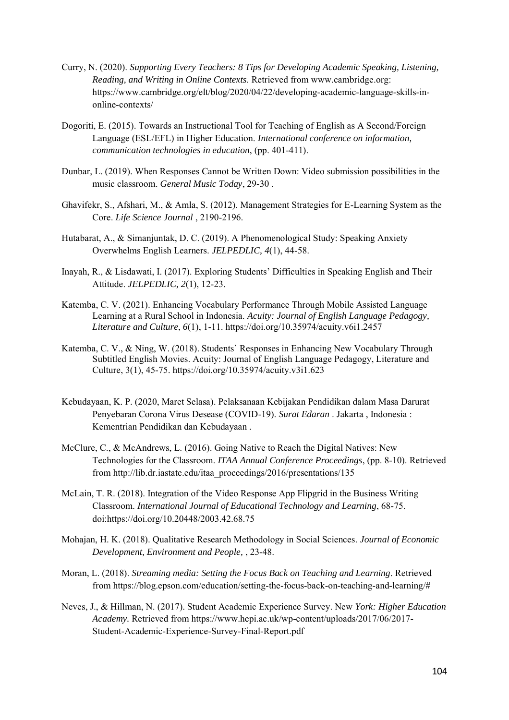- Curry, N. (2020). *Supporting Every Teachers: 8 Tips for Developing Academic Speaking, Listening, Reading, and Writing in Online Contexts*. Retrieved from www.cambridge.org: https://www.cambridge.org/elt/blog/2020/04/22/developing-academic-language-skills-inonline-contexts/
- Dogoriti, E. (2015). Towards an Instructional Tool for Teaching of English as A Second/Foreign Language (ESL/EFL) in Higher Education. *International conference on information, communication technologies in education*, (pp. 401-411).
- Dunbar, L. (2019). When Responses Cannot be Written Down: Video submission possibilities in the music classroom. *General Music Today*, 29-30 .
- Ghavifekr, S., Afshari, M., & Amla, S. (2012). Management Strategies for E-Learning System as the Core. *Life Science Journal* , 2190-2196.
- Hutabarat, A., & Simanjuntak, D. C. (2019). A Phenomenological Study: Speaking Anxiety Overwhelms English Learners. *JELPEDLIC, 4*(1), 44-58.
- Inayah, R., & Lisdawati, I. (2017). Exploring Students' Difficulties in Speaking English and Their Attitude. *JELPEDLIC, 2*(1), 12-23.
- Katemba, C. V. (2021). Enhancing Vocabulary Performance Through Mobile Assisted Language Learning at a Rural School in Indonesia. *Acuity: Journal of English Language Pedagogy, Literature and Culture*, *6*(1), 1-11. https://doi.org/10.35974/acuity.v6i1.2457
- Katemba, C. V., & Ning, W. (2018). Students` Responses in Enhancing New Vocabulary Through Subtitled English Movies. Acuity: Journal of English Language Pedagogy, Literature and Culture, 3(1), 45-75. https://doi.org/10.35974/acuity.v3i1.623
- Kebudayaan, K. P. (2020, Maret Selasa). Pelaksanaan Kebijakan Pendidikan dalam Masa Darurat Penyebaran Corona Virus Desease (COVID-19). *Surat Edaran* . Jakarta , Indonesia : Kementrian Pendidikan dan Kebudayaan .
- McClure, C., & McAndrews, L. (2016). Going Native to Reach the Digital Natives: New Technologies for the Classroom. *ITAA Annual Conference Proceedings*, (pp. 8-10). Retrieved from http://lib.dr.iastate.edu/itaa\_proceedings/2016/presentations/135
- McLain, T. R. (2018). Integration of the Video Response App Flipgrid in the Business Writing Classroom. *International Journal of Educational Technology and Learning*, 68-75. doi:https://doi.org/10.20448/2003.42.68.75
- Mohajan, H. K. (2018). Qualitative Research Methodology in Social Sciences. *Journal of Economic Development, Environment and People,* , 23-48.
- Moran, L. (2018). *Streaming media: Setting the Focus Back on Teaching and Learning*. Retrieved from https://blog.epson.com/education/setting-the-focus-back-on-teaching-and-learning/#
- Neves, J., & Hillman, N. (2017). Student Academic Experience Survey. New *York: Higher Education Academy.* Retrieved from https://www.hepi.ac.uk/wp-content/uploads/2017/06/2017- Student-Academic-Experience-Survey-Final-Report.pdf